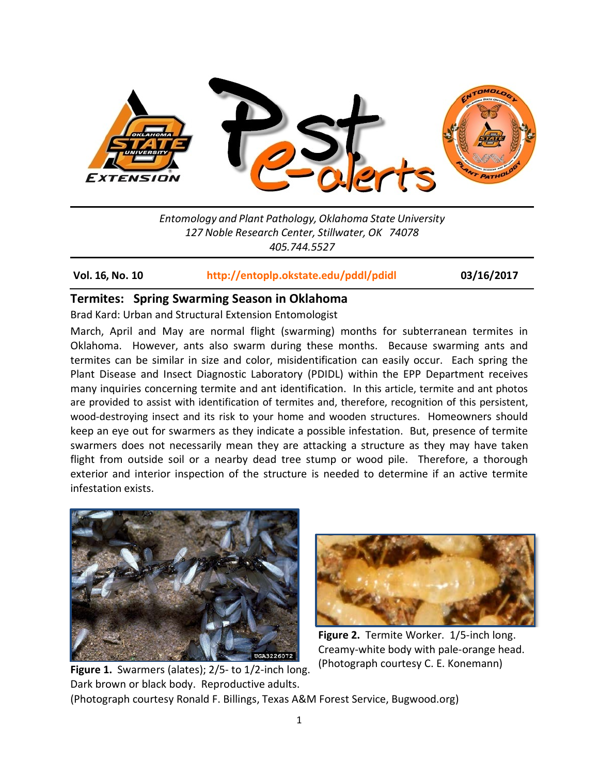

*Entomology and Plant Pathology, Oklahoma State University 127 Noble Research Center, Stillwater, OK 74078 405.744.5527*

### **Vol. 16, No. 10 <http://entoplp.okstate.edu/pddl/pdidl> 03/16/2017**

## **Termites: Spring Swarming Season in Oklahoma**

Brad Kard: Urban and Structural Extension Entomologist

March, April and May are normal flight (swarming) months for subterranean termites in Oklahoma. However, ants also swarm during these months. Because swarming ants and termites can be similar in size and color, misidentification can easily occur. Each spring the Plant Disease and Insect Diagnostic Laboratory (PDIDL) within the EPP Department receives many inquiries concerning termite and ant identification. In this article, termite and ant photos are provided to assist with identification of termites and, therefore, recognition of this persistent, wood-destroying insect and its risk to your home and wooden structures. Homeowners should keep an eye out for swarmers as they indicate a possible infestation. But, presence of termite swarmers does not necessarily mean they are attacking a structure as they may have taken flight from outside soil or a nearby dead tree stump or wood pile. Therefore, a thorough exterior and interior inspection of the structure is needed to determine if an active termite infestation exists.



Dark brown or black body. Reproductive adults.



**Figure 2.** Termite Worker. 1/5-inch long. Creamy-white body with pale-orange head. (Photograph courtesy C. E. Konemann)

(Photograph courtesy Ronald F. Billings, Texas A&M Forest Service, Bugwood.org)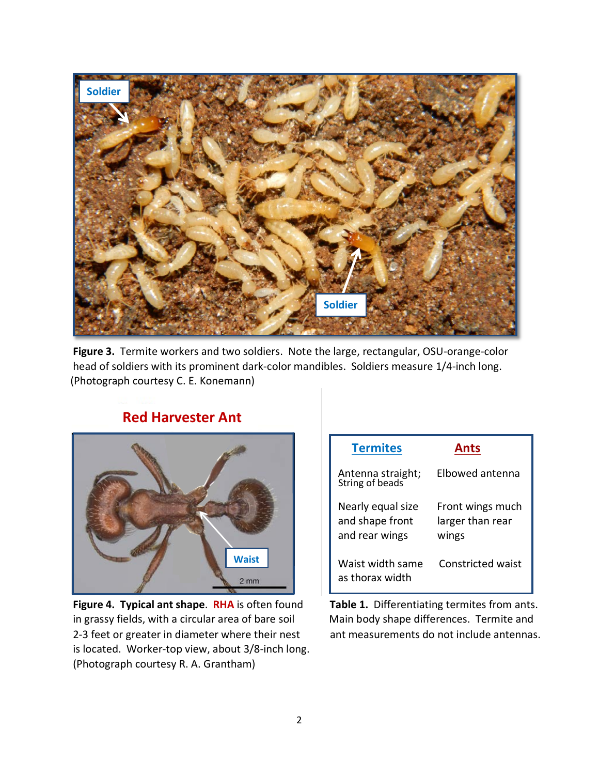

**Figure 3.** Termite workers and two soldiers. Note the large, rectangular, OSU-orange-color head of soldiers with its prominent dark-color mandibles. Soldiers measure 1/4-inch long. (Photograph courtesy C. E. Konemann)



# **Red Harvester Ant**

in grassy fields, with a circular area of bare soil Main body shape differences. Termite and 2-3 feet or greater in diameter where their nest ant measurements do not include antennas. is located. Worker-top view, about 3/8-inch long. (Photograph courtesy R. A. Grantham)

| <b>Termites</b>                                        | Ants                                          |
|--------------------------------------------------------|-----------------------------------------------|
| Antenna straight;<br>String of beads                   | Elbowed antenna                               |
| Nearly equal size<br>and shape front<br>and rear wings | Front wings much<br>larger than rear<br>wings |
| Waist width same<br>as thorax width                    | <b>Constricted waist</b>                      |

**Figure 4. Typical ant shape**. **RHA** is often found **Table 1.** Differentiating termites from ants.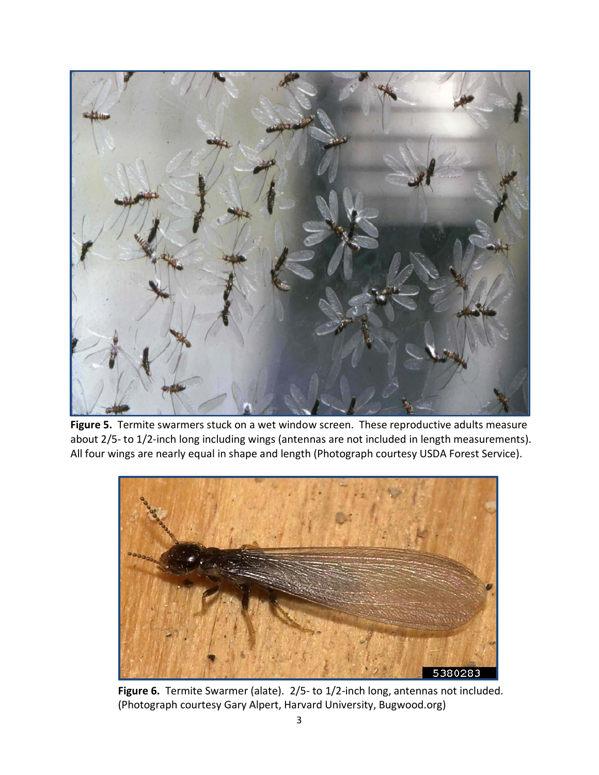

**Figure 5.** Termite swarmers stuck on a wet window screen. These reproductive adults measure about 2/5- to 1/2-inch long including wings (antennas are not included in length measurements). All four wings are nearly equal in shape and length (Photograph courtesy USDA Forest Service).



**Figure 6.** Termite Swarmer (alate). 2/5- to 1/2-inch long, antennas not included. (Photograph courtesy Gary Alpert, Harvard University, Bugwood.org)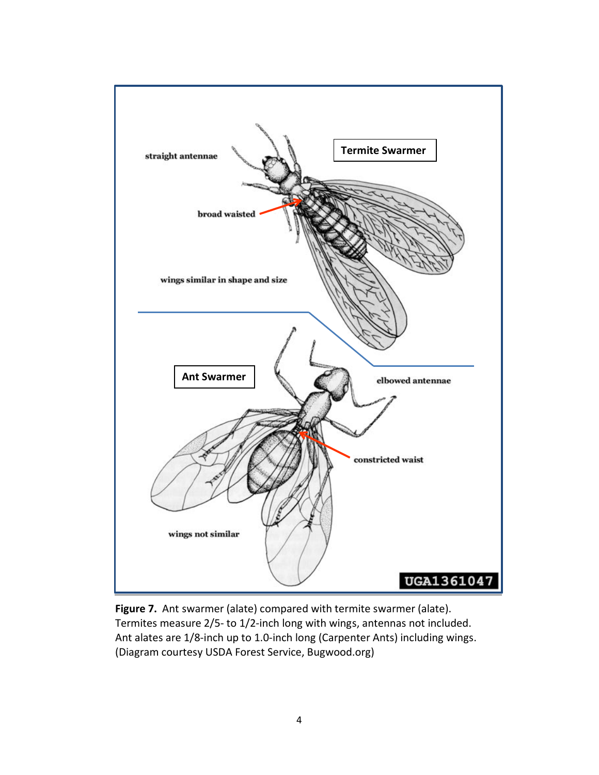

**Figure 7.** Ant swarmer (alate) compared with termite swarmer (alate). Termites measure 2/5- to 1/2-inch long with wings, antennas not included. Ant alates are 1/8-inch up to 1.0-inch long (Carpenter Ants) including wings. (Diagram courtesy USDA Forest Service, Bugwood.org)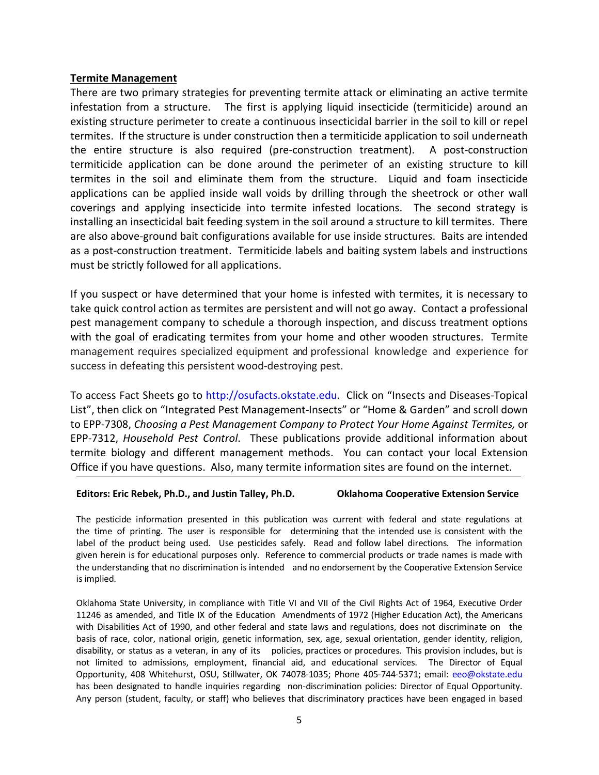### **Termite Management**

There are two primary strategies for preventing termite attack or eliminating an active termite infestation from a structure. The first is applying liquid insecticide (termiticide) around an existing structure perimeter to create a continuous insecticidal barrier in the soil to kill or repel termites. If the structure is under construction then a termiticide application to soil underneath the entire structure is also required (pre-construction treatment). A post-construction termiticide application can be done around the perimeter of an existing structure to kill termites in the soil and eliminate them from the structure. Liquid and foam insecticide applications can be applied inside wall voids by drilling through the sheetrock or other wall coverings and applying insecticide into termite infested locations. The second strategy is installing an insecticidal bait feeding system in the soil around a structure to kill termites. There are also above-ground bait configurations available for use inside structures. Baits are intended as a post-construction treatment. Termiticide labels and baiting system labels and instructions must be strictly followed for all applications.

If you suspect or have determined that your home is infested with termites, it is necessary to take quick control action as termites are persistent and will not go away. Contact a professional pest management company to schedule a thorough inspection, and discuss treatment options with the goal of eradicating termites from your home and other wooden structures. Termite management requires specialized equipment and professional knowledge and experience for success in defeating this persistent wood-destroying pest.

To access Fact Sheets go to http://osufacts.okstate.edu. Click on "Insects and Diseases-Topical List", then click on "Integrated Pest Management-Insects" or "Home & Garden" and scroll down to EPP-7308, *Choosing a Pest Management Company to Protect Your Home Against Termites,* or EPP-7312, *Household Pest Control*. These publications provide additional information about termite biology and different management methods. You can contact your local Extension Office if you have questions. Also, many termite information sites are found on the internet.

#### **Editors: Eric Rebek, Ph.D., and Justin Talley, Ph.D. Oklahoma Cooperative Extension Service**

The pesticide information presented in this publication was current with federal and state regulations at the time of printing. The user is responsible for determining that the intended use is consistent with the label of the product being used. Use pesticides safely. Read and follow label directions. The information given herein is for educational purposes only. Reference to commercial products or trade names is made with the understanding that no discrimination is intended and no endorsement by the Cooperative Extension Service is implied.

Oklahoma State University, in compliance with Title VI and VII of the Civil Rights Act of 1964, Executive Order 11246 as amended, and Title IX of the Education Amendments of 1972 (Higher Education Act), the Americans with Disabilities Act of 1990, and other federal and state laws and regulations, does not discriminate on the basis of race, color, national origin, genetic information, sex, age, sexual orientation, gender identity, religion, disability, or status as a veteran, in any of its policies, practices or procedures. This provision includes, but is not limited to admissions, employment, financial aid, and educational services. The Director of Equal Opportunity, 408 Whitehurst, OSU, Stillwater, OK 74078-1035; Phone 405-744-5371; email: [eeo@okstate.edu](mailto:eeo@okstate.edu) has been designated to handle inquiries regarding non-discrimination policies: Director of Equal Opportunity. Any person (student, faculty, or staff) who believes that discriminatory practices have been engaged in based